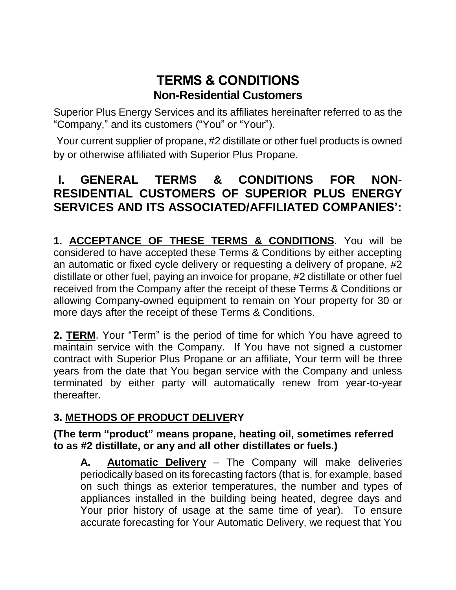# **TERMS & CONDITIONS Non-Residential Customers**

Superior Plus Energy Services and its affiliates hereinafter referred to as the "Company," and its customers ("You" or "Your").

Your current supplier of propane, #2 distillate or other fuel products is owned by or otherwise affiliated with Superior Plus Propane.

# **I. GENERAL TERMS & CONDITIONS FOR NON-RESIDENTIAL CUSTOMERS OF SUPERIOR PLUS ENERGY SERVICES AND ITS ASSOCIATED/AFFILIATED COMPANIES':**

**1. ACCEPTANCE OF THESE TERMS & CONDITIONS**. You will be considered to have accepted these Terms & Conditions by either accepting an automatic or fixed cycle delivery or requesting a delivery of propane, #2 distillate or other fuel, paying an invoice for propane, #2 distillate or other fuel received from the Company after the receipt of these Terms & Conditions or allowing Company-owned equipment to remain on Your property for 30 or more days after the receipt of these Terms & Conditions.

**2. TERM**. Your "Term" is the period of time for which You have agreed to maintain service with the Company. If You have not signed a customer contract with Superior Plus Propane or an affiliate, Your term will be three years from the date that You began service with the Company and unless terminated by either party will automatically renew from year-to-year thereafter.

### **3. METHODS OF PRODUCT DELIVERY**

#### **(The term "product" means propane, heating oil, sometimes referred to as #2 distillate, or any and all other distillates or fuels.)**

**A. Automatic Delivery** – The Company will make deliveries periodically based on its forecasting factors (that is, for example, based on such things as exterior temperatures, the number and types of appliances installed in the building being heated, degree days and Your prior history of usage at the same time of year). To ensure accurate forecasting for Your Automatic Delivery, we request that You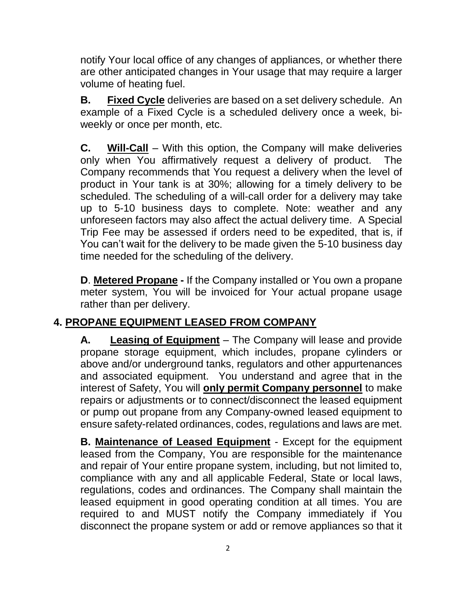notify Your local office of any changes of appliances, or whether there are other anticipated changes in Your usage that may require a larger volume of heating fuel.

**B. Fixed Cycle** deliveries are based on a set delivery schedule. An example of a Fixed Cycle is a scheduled delivery once a week, biweekly or once per month, etc.

**C. Will-Call** – With this option, the Company will make deliveries only when You affirmatively request a delivery of product. The Company recommends that You request a delivery when the level of product in Your tank is at 30%; allowing for a timely delivery to be scheduled. The scheduling of a will-call order for a delivery may take up to 5-10 business days to complete. Note: weather and any unforeseen factors may also affect the actual delivery time. A Special Trip Fee may be assessed if orders need to be expedited, that is, if You can't wait for the delivery to be made given the 5-10 business day time needed for the scheduling of the delivery.

**D**. **Metered Propane -** If the Company installed or You own a propane meter system, You will be invoiced for Your actual propane usage rather than per delivery.

## **4. PROPANE EQUIPMENT LEASED FROM COMPANY**

**A. Leasing of Equipment** – The Company will lease and provide propane storage equipment, which includes, propane cylinders or above and/or underground tanks, regulators and other appurtenances and associated equipment. You understand and agree that in the interest of Safety, You will **only permit Company personnel** to make repairs or adjustments or to connect/disconnect the leased equipment or pump out propane from any Company-owned leased equipment to ensure safety-related ordinances, codes, regulations and laws are met.

**B. Maintenance of Leased Equipment** - Except for the equipment leased from the Company, You are responsible for the maintenance and repair of Your entire propane system, including, but not limited to, compliance with any and all applicable Federal, State or local laws, regulations, codes and ordinances. The Company shall maintain the leased equipment in good operating condition at all times. You are required to and MUST notify the Company immediately if You disconnect the propane system or add or remove appliances so that it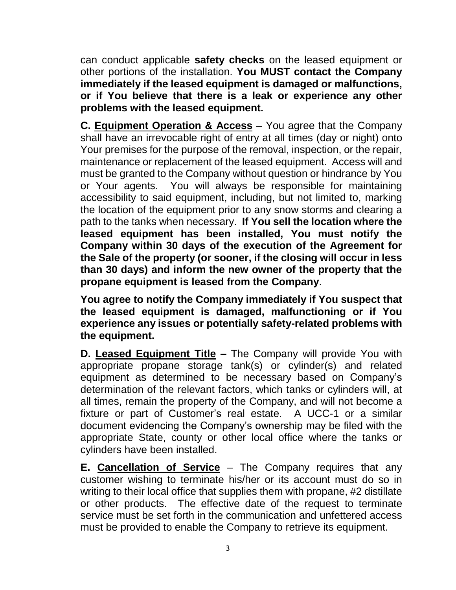can conduct applicable **safety checks** on the leased equipment or other portions of the installation. **You MUST contact the Company immediately if the leased equipment is damaged or malfunctions, or if You believe that there is a leak or experience any other problems with the leased equipment.**

**C. Equipment Operation & Access** – You agree that the Company shall have an irrevocable right of entry at all times (day or night) onto Your premises for the purpose of the removal, inspection, or the repair, maintenance or replacement of the leased equipment. Access will and must be granted to the Company without question or hindrance by You or Your agents. You will always be responsible for maintaining accessibility to said equipment, including, but not limited to, marking the location of the equipment prior to any snow storms and clearing a path to the tanks when necessary. **If You sell the location where the leased equipment has been installed, You must notify the Company within 30 days of the execution of the Agreement for the Sale of the property (or sooner, if the closing will occur in less than 30 days) and inform the new owner of the property that the propane equipment is leased from the Company**.

**You agree to notify the Company immediately if You suspect that the leased equipment is damaged, malfunctioning or if You experience any issues or potentially safety-related problems with the equipment.**

**D. Leased Equipment Title –** The Company will provide You with appropriate propane storage tank(s) or cylinder(s) and related equipment as determined to be necessary based on Company's determination of the relevant factors, which tanks or cylinders will, at all times, remain the property of the Company, and will not become a fixture or part of Customer's real estate. A UCC-1 or a similar document evidencing the Company's ownership may be filed with the appropriate State, county or other local office where the tanks or cylinders have been installed.

**E. Cancellation of Service** – The Company requires that any customer wishing to terminate his/her or its account must do so in writing to their local office that supplies them with propane, #2 distillate or other products. The effective date of the request to terminate service must be set forth in the communication and unfettered access must be provided to enable the Company to retrieve its equipment.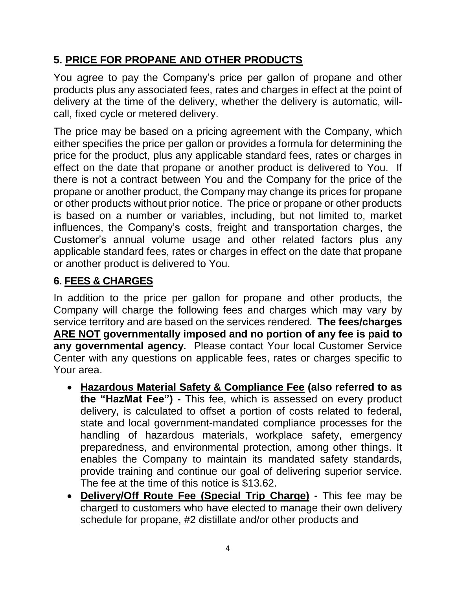### **5. PRICE FOR PROPANE AND OTHER PRODUCTS**

You agree to pay the Company's price per gallon of propane and other products plus any associated fees, rates and charges in effect at the point of delivery at the time of the delivery, whether the delivery is automatic, willcall, fixed cycle or metered delivery.

The price may be based on a pricing agreement with the Company, which either specifies the price per gallon or provides a formula for determining the price for the product, plus any applicable standard fees, rates or charges in effect on the date that propane or another product is delivered to You. If there is not a contract between You and the Company for the price of the propane or another product, the Company may change its prices for propane or other products without prior notice. The price or propane or other products is based on a number or variables, including, but not limited to, market influences, the Company's costs, freight and transportation charges, the Customer's annual volume usage and other related factors plus any applicable standard fees, rates or charges in effect on the date that propane or another product is delivered to You.

#### **6. FEES & CHARGES**

In addition to the price per gallon for propane and other products, the Company will charge the following fees and charges which may vary by service territory and are based on the services rendered. **The fees/charges ARE NOT governmentally imposed and no portion of any fee is paid to any governmental agency.** Please contact Your local Customer Service Center with any questions on applicable fees, rates or charges specific to Your area.

- **Hazardous Material Safety & Compliance Fee (also referred to as the "HazMat Fee") -** This fee, which is assessed on every product delivery, is calculated to offset a portion of costs related to federal, state and local government-mandated compliance processes for the handling of hazardous materials, workplace safety, emergency preparedness, and environmental protection, among other things. It enables the Company to maintain its mandated safety standards, provide training and continue our goal of delivering superior service. The fee at the time of this notice is \$13.62.
- **Delivery/Off Route Fee (Special Trip Charge) -** This fee may be charged to customers who have elected to manage their own delivery schedule for propane, #2 distillate and/or other products and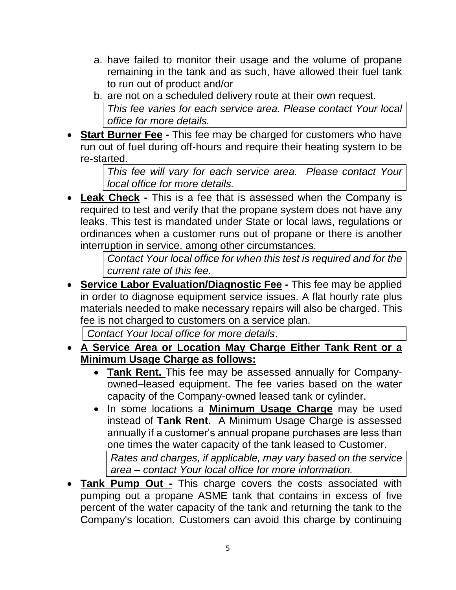- a. have failed to monitor their usage and the volume of propane remaining in the tank and as such, have allowed their fuel tank to run out of product and/or
- b. are not on a scheduled delivery route at their own request. *This fee varies for each service area. Please contact Your local office for more details.*
- **Start Burner Fee -** This fee may be charged for customers who have run out of fuel during off-hours and require their heating system to be re-started.

*This fee will vary for each service area. Please contact Your local office for more details.*

**Leak Check** - This is a fee that is assessed when the Company is required to test and verify that the propane system does not have any leaks. This test is mandated under State or local laws, regulations or ordinances when a customer runs out of propane or there is another interruption in service, among other circumstances.

> *Contact Your local office for when this test is required and for the current rate of this fee.*

• **Service Labor Evaluation/Diagnostic Fee -** This fee may be applied in order to diagnose equipment service issues. A flat hourly rate plus materials needed to make necessary repairs will also be charged. This fee is not charged to customers on a service plan.

*Contact Your local office for more details*.

- **A Service Area or Location May Charge Either Tank Rent or a Minimum Usage Charge as follows:** 
	- **Tank Rent.** This fee may be assessed annually for Companyowned–leased equipment. The fee varies based on the water capacity of the Company-owned leased tank or cylinder.
	- In some locations a **Minimum Usage Charge** may be used instead of **Tank Rent**. A Minimum Usage Charge is assessed annually if a customer's annual propane purchases are less than one times the water capacity of the tank leased to Customer. *Rates and charges, if applicable, may vary based on the service area – contact Your local office for more information.*
- **Tank Pump Out -** This charge covers the costs associated with pumping out a propane ASME tank that contains in excess of five percent of the water capacity of the tank and returning the tank to the Company's location. Customers can avoid this charge by continuing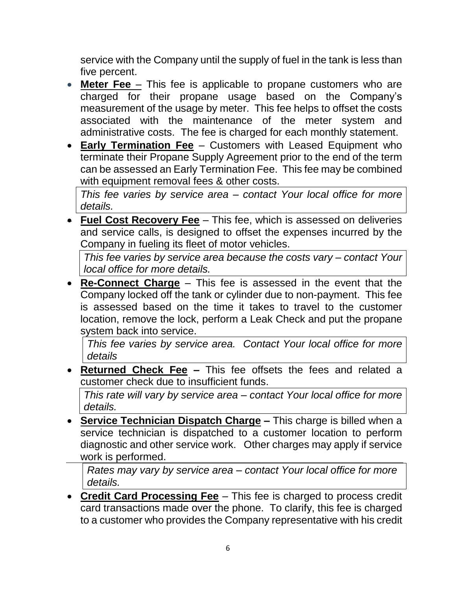service with the Company until the supply of fuel in the tank is less than five percent.

- **Meter Fee** This fee is applicable to propane customers who are charged for their propane usage based on the Company's measurement of the usage by meter. This fee helps to offset the costs associated with the maintenance of the meter system and administrative costs. The fee is charged for each monthly statement.
- **Early Termination Fee** Customers with Leased Equipment who terminate their Propane Supply Agreement prior to the end of the term can be assessed an Early Termination Fee. This fee may be combined with equipment removal fees & other costs.

*This fee varies by service area – contact Your local office for more details.*

• **Fuel Cost Recovery Fee** – This fee, which is assessed on deliveries and service calls, is designed to offset the expenses incurred by the Company in fueling its fleet of motor vehicles.

*This fee varies by service area because the costs vary – contact Your local office for more details.*

• **Re-Connect Charge** – This fee is assessed in the event that the Company locked off the tank or cylinder due to non-payment. This fee is assessed based on the time it takes to travel to the customer location, remove the lock, perform a Leak Check and put the propane system back into service.

*This fee varies by service area. Contact Your local office for more details*

• **Returned Check Fee –** This fee offsets the fees and related a customer check due to insufficient funds.

*This rate will vary by service area – contact Your local office for more details.* 

• **Service Technician Dispatch Charge –** This charge is billed when a service technician is dispatched to a customer location to perform diagnostic and other service work. Other charges may apply if service work is performed.

*Rates may vary by service area – contact Your local office for more details.* 

• **Credit Card Processing Fee** – This fee is charged to process credit card transactions made over the phone. To clarify, this fee is charged to a customer who provides the Company representative with his credit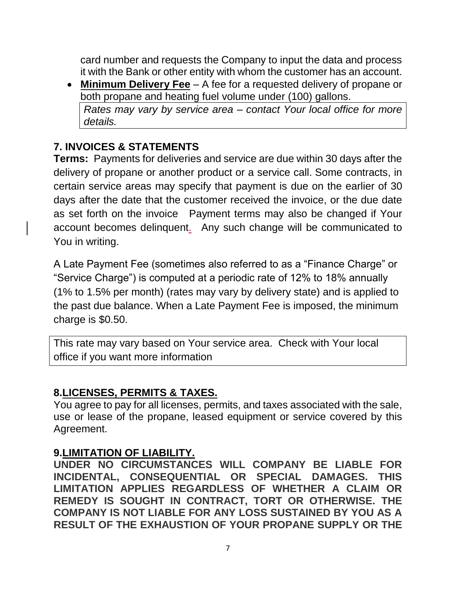card number and requests the Company to input the data and process it with the Bank or other entity with whom the customer has an account.

• **Minimum Delivery Fee** – A fee for a requested delivery of propane or both propane and heating fuel volume under (100) gallons.

*Rates may vary by service area – contact Your local office for more details.* 

### **7. INVOICES & STATEMENTS**

**Terms:** Payments for deliveries and service are due within 30 days after the delivery of propane or another product or a service call. Some contracts, in certain service areas may specify that payment is due on the earlier of 30 days after the date that the customer received the invoice, or the due date as set forth on the invoice Payment terms may also be changed if Your account becomes delinquent. Any such change will be communicated to You in writing.

A Late Payment Fee (sometimes also referred to as a "Finance Charge" or "Service Charge") is computed at a periodic rate of 12% to 18% annually (1% to 1.5% per month) (rates may vary by delivery state) and is applied to the past due balance. When a Late Payment Fee is imposed, the minimum charge is \$0.50.

This rate may vary based on Your service area. Check with Your local office if you want more information

### **8.LICENSES, PERMITS & TAXES.**

You agree to pay for all licenses, permits, and taxes associated with the sale, use or lease of the propane, leased equipment or service covered by this Agreement.

### **9.LIMITATION OF LIABILITY.**

**UNDER NO CIRCUMSTANCES WILL COMPANY BE LIABLE FOR INCIDENTAL, CONSEQUENTIAL OR SPECIAL DAMAGES. THIS LIMITATION APPLIES REGARDLESS OF WHETHER A CLAIM OR REMEDY IS SOUGHT IN CONTRACT, TORT OR OTHERWISE. THE COMPANY IS NOT LIABLE FOR ANY LOSS SUSTAINED BY YOU AS A RESULT OF THE EXHAUSTION OF YOUR PROPANE SUPPLY OR THE**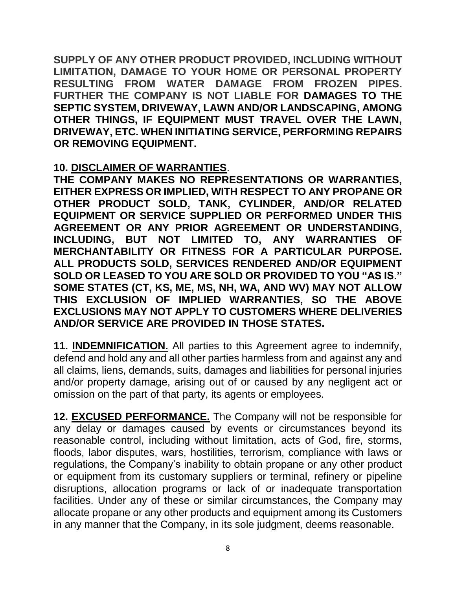**SUPPLY OF ANY OTHER PRODUCT PROVIDED, INCLUDING WITHOUT LIMITATION, DAMAGE TO YOUR HOME OR PERSONAL PROPERTY RESULTING FROM WATER DAMAGE FROM FROZEN PIPES. FURTHER THE COMPANY IS NOT LIABLE FOR DAMAGES TO THE SEPTIC SYSTEM, DRIVEWAY, LAWN AND/OR LANDSCAPING, AMONG OTHER THINGS, IF EQUIPMENT MUST TRAVEL OVER THE LAWN, DRIVEWAY, ETC. WHEN INITIATING SERVICE, PERFORMING REPAIRS OR REMOVING EQUIPMENT.**

#### **10. DISCLAIMER OF WARRANTIES**.

**THE COMPANY MAKES NO REPRESENTATIONS OR WARRANTIES, EITHER EXPRESS OR IMPLIED, WITH RESPECT TO ANY PROPANE OR OTHER PRODUCT SOLD, TANK, CYLINDER, AND/OR RELATED EQUIPMENT OR SERVICE SUPPLIED OR PERFORMED UNDER THIS AGREEMENT OR ANY PRIOR AGREEMENT OR UNDERSTANDING, INCLUDING, BUT NOT LIMITED TO, ANY WARRANTIES OF MERCHANTABILITY OR FITNESS FOR A PARTICULAR PURPOSE. ALL PRODUCTS SOLD, SERVICES RENDERED AND/OR EQUIPMENT SOLD OR LEASED TO YOU ARE SOLD OR PROVIDED TO YOU "AS IS." SOME STATES (CT, KS, ME, MS, NH, WA, AND WV) MAY NOT ALLOW THIS EXCLUSION OF IMPLIED WARRANTIES, SO THE ABOVE EXCLUSIONS MAY NOT APPLY TO CUSTOMERS WHERE DELIVERIES AND/OR SERVICE ARE PROVIDED IN THOSE STATES.**

**11. INDEMNIFICATION.** All parties to this Agreement agree to indemnify, defend and hold any and all other parties harmless from and against any and all claims, liens, demands, suits, damages and liabilities for personal injuries and/or property damage, arising out of or caused by any negligent act or omission on the part of that party, its agents or employees.

**12. EXCUSED PERFORMANCE.** The Company will not be responsible for any delay or damages caused by events or circumstances beyond its reasonable control, including without limitation, acts of God, fire, storms, floods, labor disputes, wars, hostilities, terrorism, compliance with laws or regulations, the Company's inability to obtain propane or any other product or equipment from its customary suppliers or terminal, refinery or pipeline disruptions, allocation programs or lack of or inadequate transportation facilities. Under any of these or similar circumstances, the Company may allocate propane or any other products and equipment among its Customers in any manner that the Company, in its sole judgment, deems reasonable.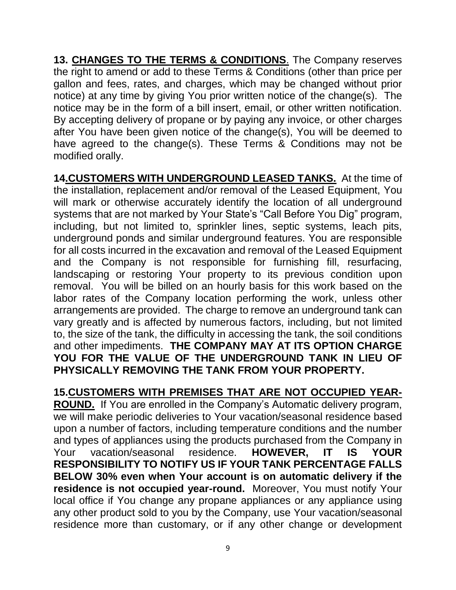**13. CHANGES TO THE TERMS & CONDITIONS**. The Company reserves the right to amend or add to these Terms & Conditions (other than price per gallon and fees, rates, and charges, which may be changed without prior notice) at any time by giving You prior written notice of the change(s). The notice may be in the form of a bill insert, email, or other written notification. By accepting delivery of propane or by paying any invoice, or other charges after You have been given notice of the change(s), You will be deemed to have agreed to the change(s). These Terms & Conditions may not be modified orally.

**14.CUSTOMERS WITH UNDERGROUND LEASED TANKS.** At the time of the installation, replacement and/or removal of the Leased Equipment, You will mark or otherwise accurately identify the location of all underground systems that are not marked by Your State's "Call Before You Dig" program, including, but not limited to, sprinkler lines, septic systems, leach pits, underground ponds and similar underground features. You are responsible for all costs incurred in the excavation and removal of the Leased Equipment and the Company is not responsible for furnishing fill, resurfacing, landscaping or restoring Your property to its previous condition upon removal. You will be billed on an hourly basis for this work based on the labor rates of the Company location performing the work, unless other arrangements are provided. The charge to remove an underground tank can vary greatly and is affected by numerous factors, including, but not limited to, the size of the tank, the difficulty in accessing the tank, the soil conditions and other impediments. **THE COMPANY MAY AT ITS OPTION CHARGE YOU FOR THE VALUE OF THE UNDERGROUND TANK IN LIEU OF PHYSICALLY REMOVING THE TANK FROM YOUR PROPERTY.**

**15.CUSTOMERS WITH PREMISES THAT ARE NOT OCCUPIED YEAR-ROUND.** If You are enrolled in the Company's Automatic delivery program, we will make periodic deliveries to Your vacation/seasonal residence based upon a number of factors, including temperature conditions and the number and types of appliances using the products purchased from the Company in Your vacation/seasonal residence. **HOWEVER, IT IS YOUR RESPONSIBILITY TO NOTIFY US IF YOUR TANK PERCENTAGE FALLS BELOW 30% even when Your account is on automatic delivery if the residence is not occupied year-round.** Moreover, You must notify Your local office if You change any propane appliances or any appliance using any other product sold to you by the Company, use Your vacation/seasonal residence more than customary, or if any other change or development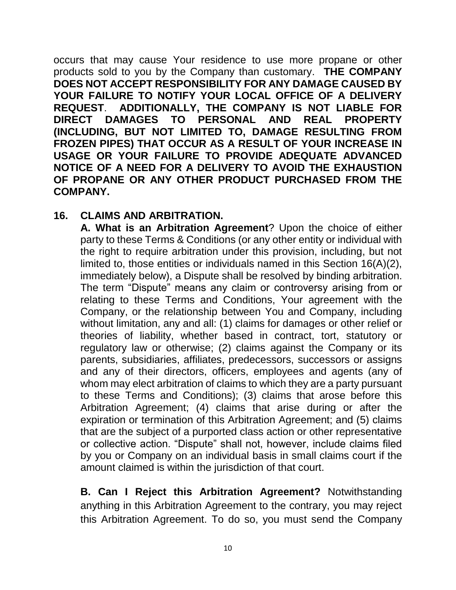occurs that may cause Your residence to use more propane or other products sold to you by the Company than customary. **THE COMPANY DOES NOT ACCEPT RESPONSIBILITY FOR ANY DAMAGE CAUSED BY YOUR FAILURE TO NOTIFY YOUR LOCAL OFFICE OF A DELIVERY REQUEST**. **ADDITIONALLY, THE COMPANY IS NOT LIABLE FOR DIRECT DAMAGES TO PERSONAL AND REAL PROPERTY (INCLUDING, BUT NOT LIMITED TO, DAMAGE RESULTING FROM FROZEN PIPES) THAT OCCUR AS A RESULT OF YOUR INCREASE IN USAGE OR YOUR FAILURE TO PROVIDE ADEQUATE ADVANCED NOTICE OF A NEED FOR A DELIVERY TO AVOID THE EXHAUSTION OF PROPANE OR ANY OTHER PRODUCT PURCHASED FROM THE COMPANY.**

#### **16. CLAIMS AND ARBITRATION.**

**A. What is an Arbitration Agreement**? Upon the choice of either party to these Terms & Conditions (or any other entity or individual with the right to require arbitration under this provision, including, but not limited to, those entities or individuals named in this Section 16(A)(2), immediately below), a Dispute shall be resolved by binding arbitration. The term "Dispute" means any claim or controversy arising from or relating to these Terms and Conditions, Your agreement with the Company, or the relationship between You and Company, including without limitation, any and all: (1) claims for damages or other relief or theories of liability, whether based in contract, tort, statutory or regulatory law or otherwise; (2) claims against the Company or its parents, subsidiaries, affiliates, predecessors, successors or assigns and any of their directors, officers, employees and agents (any of whom may elect arbitration of claims to which they are a party pursuant to these Terms and Conditions); (3) claims that arose before this Arbitration Agreement; (4) claims that arise during or after the expiration or termination of this Arbitration Agreement; and (5) claims that are the subject of a purported class action or other representative or collective action. "Dispute" shall not, however, include claims filed by you or Company on an individual basis in small claims court if the amount claimed is within the jurisdiction of that court.

**B. Can I Reject this Arbitration Agreement?** Notwithstanding anything in this Arbitration Agreement to the contrary, you may reject this Arbitration Agreement. To do so, you must send the Company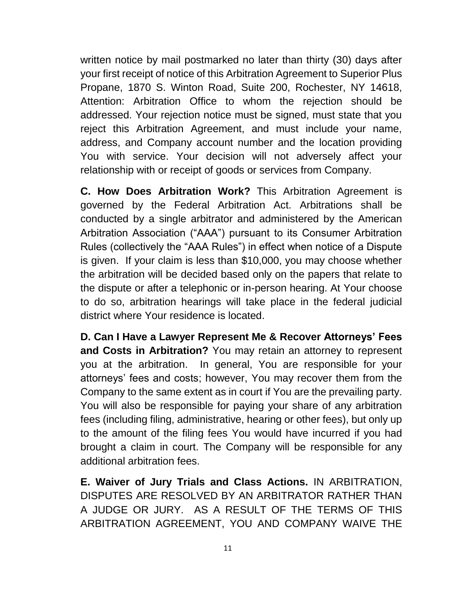written notice by mail postmarked no later than thirty (30) days after your first receipt of notice of this Arbitration Agreement to Superior Plus Propane, 1870 S. Winton Road, Suite 200, Rochester, NY 14618, Attention: Arbitration Office to whom the rejection should be addressed. Your rejection notice must be signed, must state that you reject this Arbitration Agreement, and must include your name, address, and Company account number and the location providing You with service. Your decision will not adversely affect your relationship with or receipt of goods or services from Company.

**C. How Does Arbitration Work?** This Arbitration Agreement is governed by the Federal Arbitration Act. Arbitrations shall be conducted by a single arbitrator and administered by the American Arbitration Association ("AAA") pursuant to its Consumer Arbitration Rules (collectively the "AAA Rules") in effect when notice of a Dispute is given. If your claim is less than \$10,000, you may choose whether the arbitration will be decided based only on the papers that relate to the dispute or after a telephonic or in-person hearing. At Your choose to do so, arbitration hearings will take place in the federal judicial district where Your residence is located.

**D. Can I Have a Lawyer Represent Me & Recover Attorneys' Fees and Costs in Arbitration?** You may retain an attorney to represent you at the arbitration. In general, You are responsible for your attorneys' fees and costs; however, You may recover them from the Company to the same extent as in court if You are the prevailing party. You will also be responsible for paying your share of any arbitration fees (including filing, administrative, hearing or other fees), but only up to the amount of the filing fees You would have incurred if you had brought a claim in court. The Company will be responsible for any additional arbitration fees.

**E. Waiver of Jury Trials and Class Actions.** IN ARBITRATION, DISPUTES ARE RESOLVED BY AN ARBITRATOR RATHER THAN A JUDGE OR JURY. AS A RESULT OF THE TERMS OF THIS ARBITRATION AGREEMENT, YOU AND COMPANY WAIVE THE